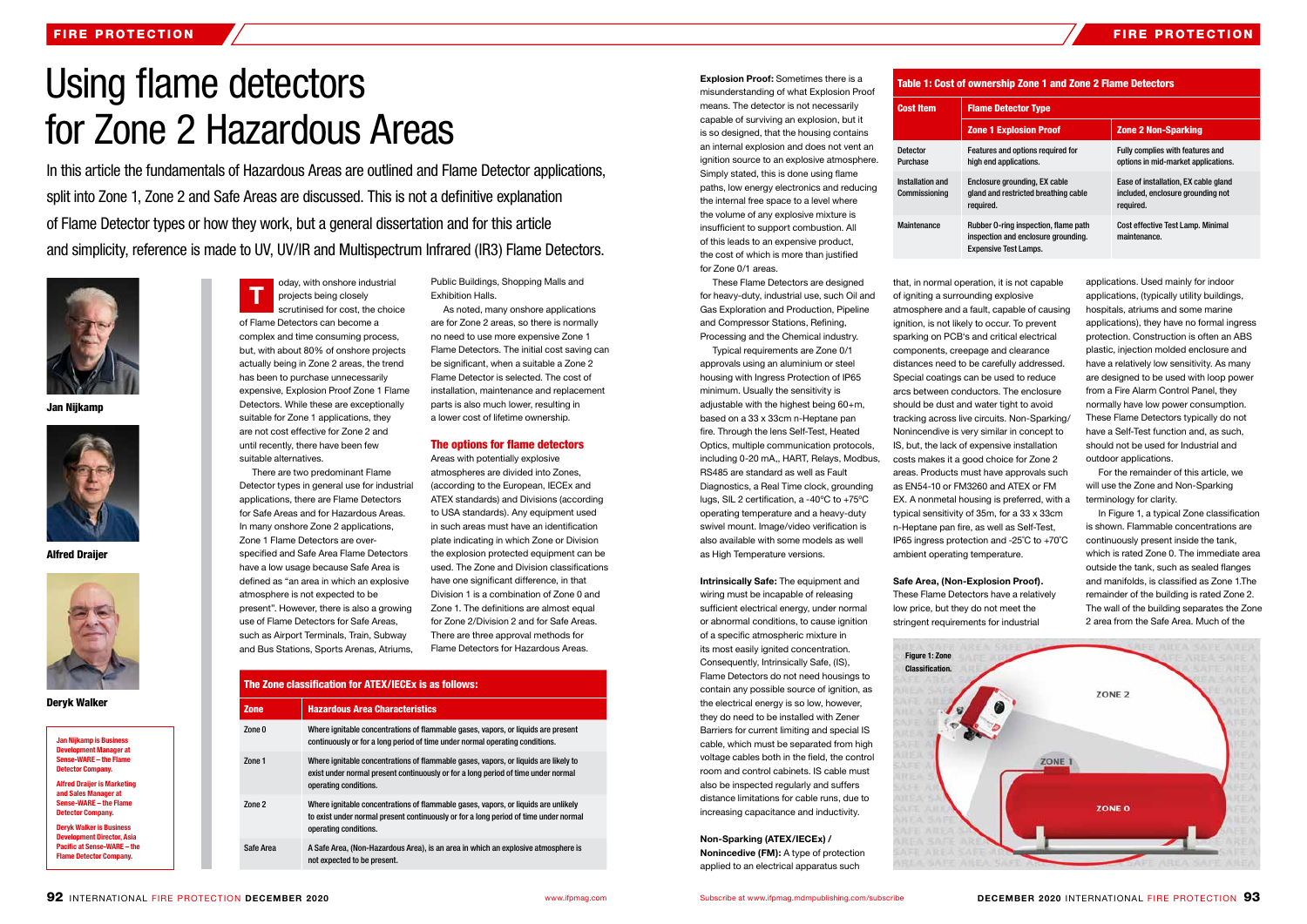applications. Used mainly for indoor applications, (typically utility buildings, hospitals, atriums and some marine applications), they have no formal ingress protection. Construction is often an ABS plastic, injection molded enclosure and have a relatively low sensitivity. As many are designed to be used with loop power from a Fire Alarm Control Panel, they normally have low power consumption. These Flame Detectors typically do not have a Self-Test function and, as such, should not be used for Industrial and outdoor applications.

For the remainder of this article, we will use the Zone and Non-Sparking terminology for clarity.

In Figure 1, a typical Zone classification is shown. Flammable concentrations are continuously present inside the tank, which is rated Zone 0. The immediate area outside the tank, such as sealed flanges and manifolds, is classified as Zone 1.The remainder of the building is rated Zone 2. The wall of the building separates the Zone 2 area from the Safe Area. Much of the

**Explosion Proof:** Sometimes there is a misunderstanding of what Explosion Proof means. The detector is not necessarily capable of surviving an explosion, but it is so designed, that the housing contains an internal explosion and does not vent an ignition source to an explosive atmosphere. Simply stated, this is done using flame paths, low energy electronics and reducing the internal free space to a level where the volume of any explosive mixture is insufficient to support combustion. All of this leads to an expensive product, the cost of which is more than justified for Zone 0/1 areas.

These Flame Detectors are designed for heavy-duty, industrial use, such Oil and Gas Exploration and Production, Pipeline and Compressor Stations, Refining, Processing and the Chemical industry.

Typical requirements are Zone 0/1 approvals using an aluminium or steel housing with Ingress Protection of IP65 minimum. Usually the sensitivity is adjustable with the highest being 60+m, based on a 33 x 33cm n-Heptane pan fire. Through the lens Self-Test, Heated Optics, multiple communication protocols, including 0-20 mA,, HART, Relays, Modbus, RS485 are standard as well as Fault Diagnostics, a Real Time clock, grounding lugs, SIL 2 certification, a -40ºC to +75ºC operating temperature and a heavy-duty swivel mount. Image/video verification is also available with some models as well as High Temperature versions.

**Intrinsically Safe:** The equipment and wiring must be incapable of releasing sufficient electrical energy, under normal or abnormal conditions, to cause ignition of a specific atmospheric mixture in its most easily ignited concentration. Consequently, Intrinsically Safe, (IS), Flame Detectors do not need housings to contain any possible source of ignition, as the electrical energy is so low, however, they do need to be installed with Zener Barriers for current limiting and special IS cable, which must be separated from high voltage cables both in the field, the control room and control cabinets. IS cable must also be inspected regularly and suffers distance limitations for cable runs, due to increasing capacitance and inductivity.

**Non-Sparking (ATEX/IECEx) / Nonincedive (FM):** A type of protection applied to an electrical apparatus such

## Cost Item Flame Detector Type Detector Purchase Featu high  $\epsilon$ Installation and **Commissioning** Enclo gland requir

Maintenance Rubbe inspe Exper

that, in normal operation, it is not capable of igniting a surrounding explosive atmosphere and a fault, capable of causing ignition, is not likely to occur. To prevent sparking on PCB's and critical electrical components, creepage and clearance distances need to be carefully addressed. Special coatings can be used to reduce arcs between conductors. The enclosure should be dust and water tight to avoid tracking across live circuits. Non-Sparking/ Nonincendive is very similar in concept to IS, but, the lack of expensive installation costs makes it a good choice for Zone 2 areas. Products must have approvals such as EN54-10 or FM3260 and ATEX or FM EX. A nonmetal housing is preferred, with a typical sensitivity of 35m, for a 33 x 33cm n-Heptane pan fire, as well as Self-Test, IP65 ingress protection and -25˚C to +70˚C ambient operating temperature.

**Safe Area, (Non-Explosion Proof).**  These Flame Detectors have a relatively low price, but they do not meet the stringent requirements for industrial

# Using flame detectors for Zone 2 Hazardous Areas

Public Buildings, Shopping Malls and Exhibition Halls.

As noted, many onshore applications are for Zone 2 areas, so there is normally no need to use more expensive Zone 1 Flame Detectors. The initial cost saving can be significant, when a suitable a Zone 2 Flame Detector is selected. The cost of installation, maintenance and replacement parts is also much lower, resulting in a lower cost of lifetime ownership.

### The options for flame detectors

Areas with potentially explosive atmospheres are divided into Zones, (according to the European, IECEx and ATEX standards) and Divisions (according to USA standards). Any equipment used in such areas must have an identification plate indicating in which Zone or Division the explosion protected equipment can be used. The Zone and Division classifications have one significant difference, in that Division 1 is a combination of Zone 0 and Zone 1. The definitions are almost equal for Zone 2/Division 2 and for Safe Areas. There are three approval methods for Flame Detectors for Hazardous Areas.

suitable for Zone 1 applications, they are not cost effective for Zone 2 and until recently, there have been few suitable alternatives.

There are two predominant Flame Detector types in general use for industrial applications, there are Flame Detectors for Safe Areas and for Hazardous Areas. In many onshore Zone 2 applications, Zone 1 Flame Detectors are overspecified and Safe Area Flame Detectors have a low usage because Safe Area is defined as "an area in which an explosive atmosphere is not expected to be present". However, there is also a growing use of Flame Detectors for Safe Areas, such as Airport Terminals, Train, Subway and Bus Stations, Sports Arenas, Atriums,

oday, with onshore industrial projects being closely scrutinised for cost, the choice of Flame Detectors can become a complex and time consuming process, but, with about 80% of onshore projects actually being in Zone 2 areas, the trend has been to purchase unnecessarily expensive, Explosion Proof Zone 1 Flame Detectors. While these are exceptionally **T**

In this article the fundamentals of Hazardous Areas are outlined and Flame Detector applications, split into Zone 1, Zone 2 and Safe Areas are discussed. This is not a definitive explanation of Flame Detector types or how they work, but a general dissertation and for this article and simplicity, reference is made to UV, UV/IR and Multispectrum Infrared (IR3) Flame Detectors.

**Jan Nijkamp is Business Development Manager at Sense-WARE – the Flame Detector Company Alfred Draijer is Marketing** 

**and Sales Manager at Sense-WARE – the Flame Detector Company.**

**Deryk Walker is Business nent Director, Asia Pacific at Sense-WARE – the Flame Detector Company.**



Jan Nijkamp



Alfred Draijer



Deryk Walker

### Table 1: Cost of ownership Zone 1 and Zone 2 Flame Detectors

| <b>Zone 1 Explosion Proof</b>                                                                               | <b>Zone 2 Non-Sparking</b>                                                             |
|-------------------------------------------------------------------------------------------------------------|----------------------------------------------------------------------------------------|
| Features and options required for<br>high end applications.                                                 | <b>Fully complies with features and</b><br>options in mid-market applications.         |
| Enclosure grounding, EX cable<br>gland and restricted breathing cable<br>required.                          | Ease of installation, EX cable gland<br>included, enclosure grounding not<br>required. |
| Rubber 0-ring inspection, flame path<br>inspection and enclosure grounding.<br><b>Expensive Test Lamps.</b> | Cost effective Test Lamp. Minimal<br>maintenance.                                      |

| The Zone classification for ATEX/IECEx is as follows: |                                                                                                                                                                                                     |
|-------------------------------------------------------|-----------------------------------------------------------------------------------------------------------------------------------------------------------------------------------------------------|
| <b>Zone</b>                                           | <b>Hazardous Area Characteristics</b>                                                                                                                                                               |
| Zone 0                                                | Where ignitable concentrations of flammable gases, vapors, or liquids are present<br>continuously or for a long period of time under normal operating conditions.                                   |
| Zone <sub>1</sub>                                     | Where ignitable concentrations of flammable gases, vapors, or liquids are likely to<br>exist under normal present continuously or for a long period of time under normal<br>operating conditions.   |
| Zone <sub>2</sub>                                     | Where ignitable concentrations of flammable gases, vapors, or liquids are unlikely<br>to exist under normal present continuously or for a long period of time under normal<br>operating conditions. |
| Safe Area                                             | A Safe Area, (Non-Hazardous Area), is an area in which an explosive atmosphere is<br>not expected to be present.                                                                                    |